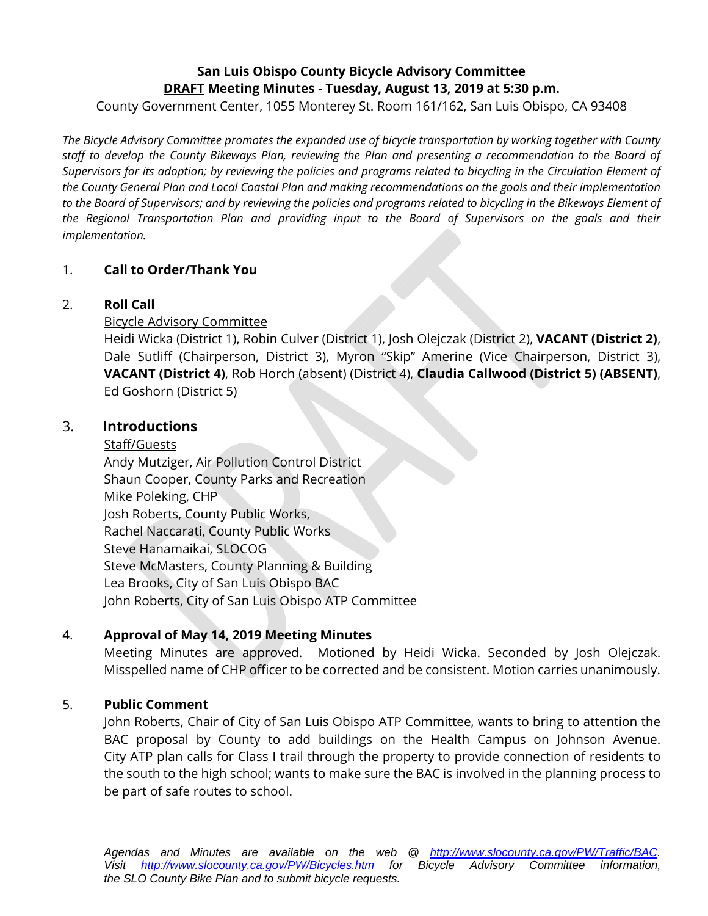# **San Luis Obispo County Bicycle Advisory Committee DRAFT Meeting Minutes - Tuesday, August 13, 2019 at 5:30 p.m.**

County Government Center, 1055 Monterey St. Room 161/162, San Luis Obispo, CA 93408

*The Bicycle Advisory Committee promotes the expanded use of bicycle transportation by working together with County staff to develop the County Bikeways Plan, reviewing the Plan and presenting a recommendation to the Board of Supervisors for its adoption; by reviewing the policies and programs related to bicycling in the Circulation Element of the County General Plan and Local Coastal Plan and making recommendations on the goals and their implementation to the Board of Supervisors; and by reviewing the policies and programs related to bicycling in the Bikeways Element of the Regional Transportation Plan and providing input to the Board of Supervisors on the goals and their implementation.* 

#### 1. **Call to Order/Thank You**

#### 2. **Roll Call**

Bicycle Advisory Committee

Heidi Wicka (District 1), Robin Culver (District 1), Josh Olejczak (District 2), **VACANT (District 2)**, Dale Sutliff (Chairperson, District 3), Myron "Skip" Amerine (Vice Chairperson, District 3), **VACANT (District 4)**, Rob Horch (absent) (District 4), **Claudia Callwood (District 5) (ABSENT)**, Ed Goshorn (District 5)

#### 3. **Introductions**

#### Staff/Guests

Andy Mutziger, Air Pollution Control District Shaun Cooper, County Parks and Recreation Mike Poleking, CHP Josh Roberts, County Public Works, Rachel Naccarati, County Public Works Steve Hanamaikai, SLOCOG Steve McMasters, County Planning & Building Lea Brooks, City of San Luis Obispo BAC John Roberts, City of San Luis Obispo ATP Committee

#### 4. **Approval of May 14, 2019 Meeting Minutes**

Meeting Minutes are approved. Motioned by Heidi Wicka. Seconded by Josh Olejczak. Misspelled name of CHP officer to be corrected and be consistent. Motion carries unanimously.

#### 5. **Public Comment**

John Roberts, Chair of City of San Luis Obispo ATP Committee, wants to bring to attention the BAC proposal by County to add buildings on the Health Campus on Johnson Avenue. City ATP plan calls for Class I trail through the property to provide connection of residents to the south to the high school; wants to make sure the BAC is involved in the planning process to be part of safe routes to school.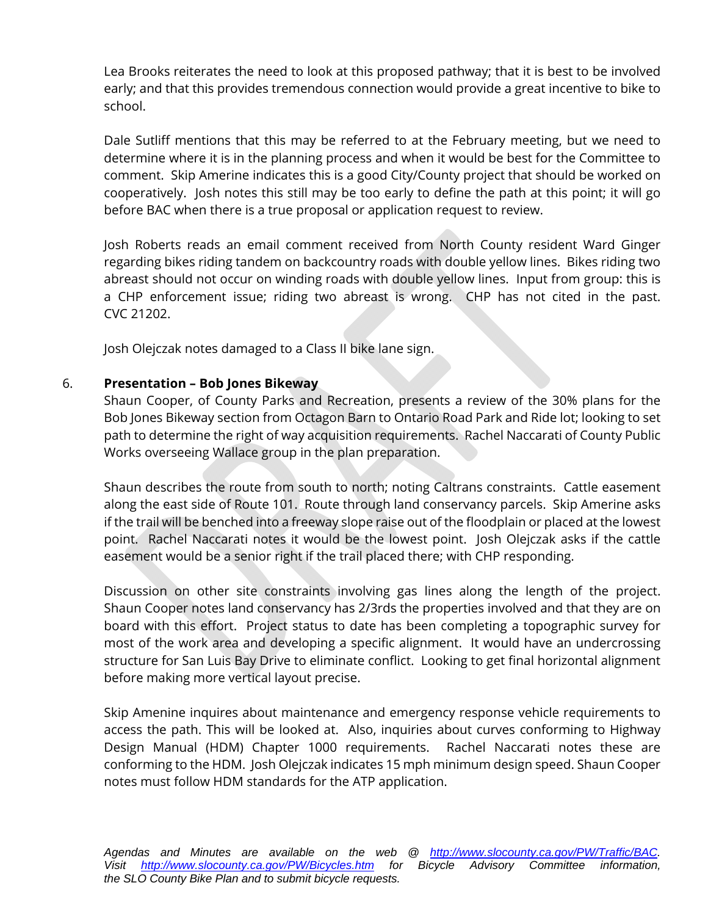Lea Brooks reiterates the need to look at this proposed pathway; that it is best to be involved early; and that this provides tremendous connection would provide a great incentive to bike to school.

Dale Sutliff mentions that this may be referred to at the February meeting, but we need to determine where it is in the planning process and when it would be best for the Committee to comment. Skip Amerine indicates this is a good City/County project that should be worked on cooperatively. Josh notes this still may be too early to define the path at this point; it will go before BAC when there is a true proposal or application request to review.

Josh Roberts reads an email comment received from North County resident Ward Ginger regarding bikes riding tandem on backcountry roads with double yellow lines. Bikes riding two abreast should not occur on winding roads with double yellow lines. Input from group: this is a CHP enforcement issue; riding two abreast is wrong. CHP has not cited in the past. CVC 21202.

Josh Olejczak notes damaged to a Class II bike lane sign.

#### 6. **Presentation – Bob Jones Bikeway**

Shaun Cooper, of County Parks and Recreation, presents a review of the 30% plans for the Bob Jones Bikeway section from Octagon Barn to Ontario Road Park and Ride lot; looking to set path to determine the right of way acquisition requirements. Rachel Naccarati of County Public Works overseeing Wallace group in the plan preparation.

Shaun describes the route from south to north; noting Caltrans constraints. Cattle easement along the east side of Route 101. Route through land conservancy parcels. Skip Amerine asks if the trail will be benched into a freeway slope raise out of the floodplain or placed at the lowest point. Rachel Naccarati notes it would be the lowest point. Josh Olejczak asks if the cattle easement would be a senior right if the trail placed there; with CHP responding.

Discussion on other site constraints involving gas lines along the length of the project. Shaun Cooper notes land conservancy has 2/3rds the properties involved and that they are on board with this effort. Project status to date has been completing a topographic survey for most of the work area and developing a specific alignment. It would have an undercrossing structure for San Luis Bay Drive to eliminate conflict. Looking to get final horizontal alignment before making more vertical layout precise.

Skip Amenine inquires about maintenance and emergency response vehicle requirements to access the path. This will be looked at. Also, inquiries about curves conforming to Highway Design Manual (HDM) Chapter 1000 requirements. Rachel Naccarati notes these are conforming to the HDM. Josh Olejczak indicates 15 mph minimum design speed. Shaun Cooper notes must follow HDM standards for the ATP application.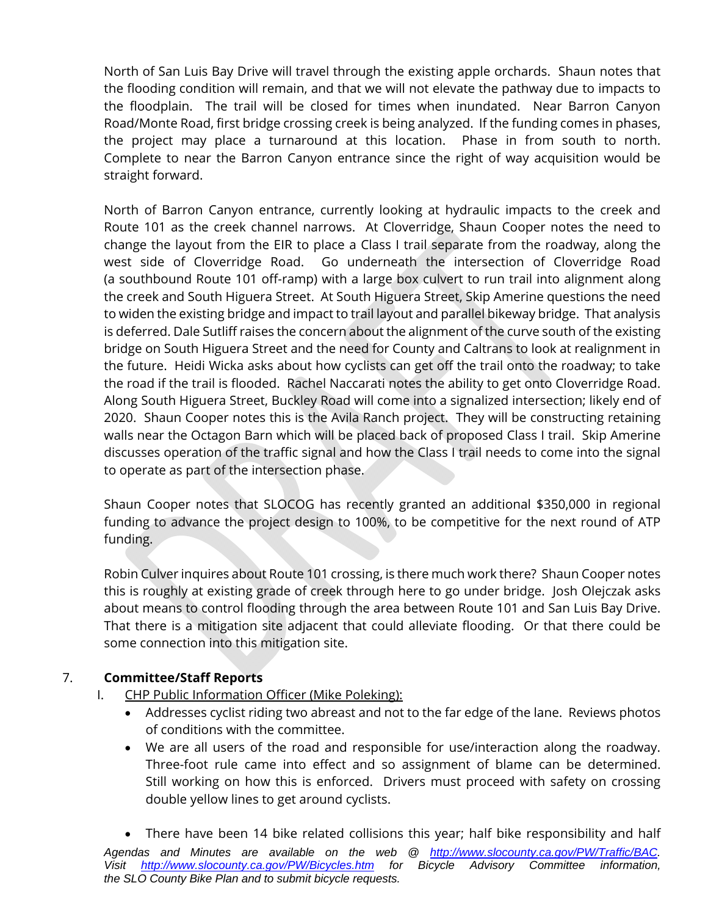North of San Luis Bay Drive will travel through the existing apple orchards. Shaun notes that the flooding condition will remain, and that we will not elevate the pathway due to impacts to the floodplain. The trail will be closed for times when inundated. Near Barron Canyon Road/Monte Road, first bridge crossing creek is being analyzed. If the funding comes in phases, the project may place a turnaround at this location. Phase in from south to north. Complete to near the Barron Canyon entrance since the right of way acquisition would be straight forward.

North of Barron Canyon entrance, currently looking at hydraulic impacts to the creek and Route 101 as the creek channel narrows. At Cloverridge, Shaun Cooper notes the need to change the layout from the EIR to place a Class I trail separate from the roadway, along the west side of Cloverridge Road. Go underneath the intersection of Cloverridge Road (a southbound Route 101 off-ramp) with a large box culvert to run trail into alignment along the creek and South Higuera Street. At South Higuera Street, Skip Amerine questions the need to widen the existing bridge and impact to trail layout and parallel bikeway bridge. That analysis is deferred. Dale Sutliff raises the concern about the alignment of the curve south of the existing bridge on South Higuera Street and the need for County and Caltrans to look at realignment in the future. Heidi Wicka asks about how cyclists can get off the trail onto the roadway; to take the road if the trail is flooded. Rachel Naccarati notes the ability to get onto Cloverridge Road. Along South Higuera Street, Buckley Road will come into a signalized intersection; likely end of 2020. Shaun Cooper notes this is the Avila Ranch project. They will be constructing retaining walls near the Octagon Barn which will be placed back of proposed Class I trail. Skip Amerine discusses operation of the traffic signal and how the Class I trail needs to come into the signal to operate as part of the intersection phase.

Shaun Cooper notes that SLOCOG has recently granted an additional \$350,000 in regional funding to advance the project design to 100%, to be competitive for the next round of ATP funding.

Robin Culver inquires about Route 101 crossing, is there much work there? Shaun Cooper notes this is roughly at existing grade of creek through here to go under bridge. Josh Olejczak asks about means to control flooding through the area between Route 101 and San Luis Bay Drive. That there is a mitigation site adjacent that could alleviate flooding. Or that there could be some connection into this mitigation site.

### 7. **Committee/Staff Reports**

- I. CHP Public Information Officer (Mike Poleking):
	- Addresses cyclist riding two abreast and not to the far edge of the lane. Reviews photos of conditions with the committee.
	- We are all users of the road and responsible for use/interaction along the roadway. Three-foot rule came into effect and so assignment of blame can be determined. Still working on how this is enforced. Drivers must proceed with safety on crossing double yellow lines to get around cyclists.

*Agendas and Minutes are available on the web @ http://www.slocounty.ca.gov/PW/Traffic/BAC. Visit http://www.slocounty.ca.gov/PW/Bicycles.htm for Bicycle Advisory Committee information, the SLO County Bike Plan and to submit bicycle requests.*  There have been 14 bike related collisions this year; half bike responsibility and half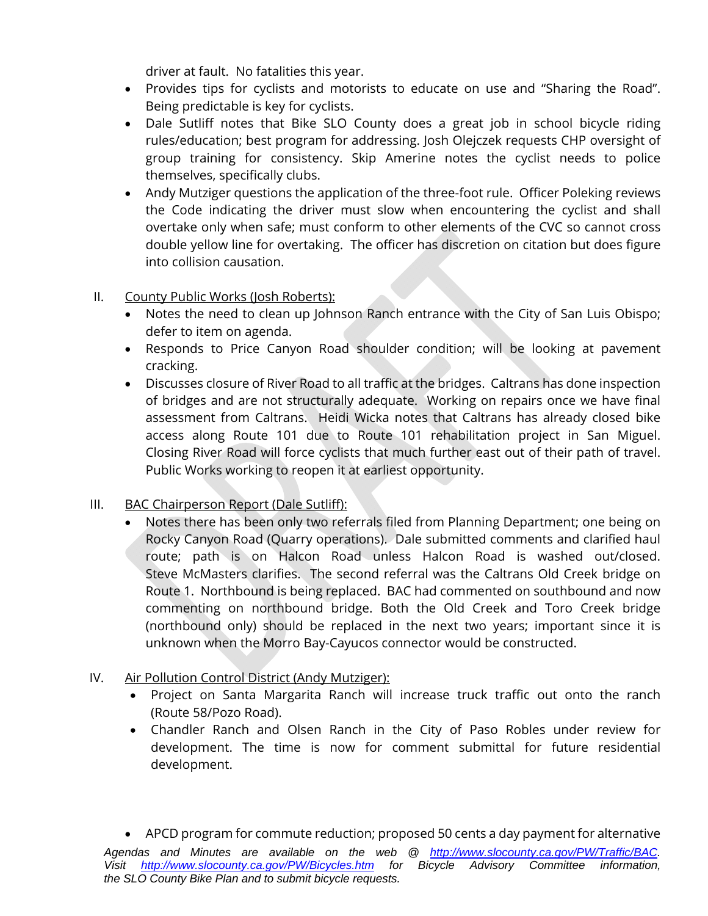driver at fault. No fatalities this year.

- Provides tips for cyclists and motorists to educate on use and "Sharing the Road". Being predictable is key for cyclists.
- Dale Sutliff notes that Bike SLO County does a great job in school bicycle riding rules/education; best program for addressing. Josh Olejczek requests CHP oversight of group training for consistency. Skip Amerine notes the cyclist needs to police themselves, specifically clubs.
- Andy Mutziger questions the application of the three-foot rule. Officer Poleking reviews the Code indicating the driver must slow when encountering the cyclist and shall overtake only when safe; must conform to other elements of the CVC so cannot cross double yellow line for overtaking. The officer has discretion on citation but does figure into collision causation.

### II. County Public Works (Josh Roberts):

- Notes the need to clean up Johnson Ranch entrance with the City of San Luis Obispo; defer to item on agenda.
- Responds to Price Canyon Road shoulder condition; will be looking at pavement cracking.
- Discusses closure of River Road to all traffic at the bridges. Caltrans has done inspection of bridges and are not structurally adequate. Working on repairs once we have final assessment from Caltrans. Heidi Wicka notes that Caltrans has already closed bike access along Route 101 due to Route 101 rehabilitation project in San Miguel. Closing River Road will force cyclists that much further east out of their path of travel. Public Works working to reopen it at earliest opportunity.

#### III. BAC Chairperson Report (Dale Sutliff):

 Notes there has been only two referrals filed from Planning Department; one being on Rocky Canyon Road (Quarry operations). Dale submitted comments and clarified haul route; path is on Halcon Road unless Halcon Road is washed out/closed. Steve McMasters clarifies. The second referral was the Caltrans Old Creek bridge on Route 1. Northbound is being replaced. BAC had commented on southbound and now commenting on northbound bridge. Both the Old Creek and Toro Creek bridge (northbound only) should be replaced in the next two years; important since it is unknown when the Morro Bay-Cayucos connector would be constructed.

#### IV. Air Pollution Control District (Andy Mutziger):

*the SLO County Bike Plan and to submit bicycle requests.* 

- Project on Santa Margarita Ranch will increase truck traffic out onto the ranch (Route 58/Pozo Road).
- Chandler Ranch and Olsen Ranch in the City of Paso Robles under review for development. The time is now for comment submittal for future residential development.

*Agendas and Minutes are available on the web @ http://www.slocounty.ca.gov/PW/Traffic/BAC. Visit http://www.slocounty.ca.gov/PW/Bicycles.htm for Bicycle Advisory Committee information,*  APCD program for commute reduction; proposed 50 cents a day payment for alternative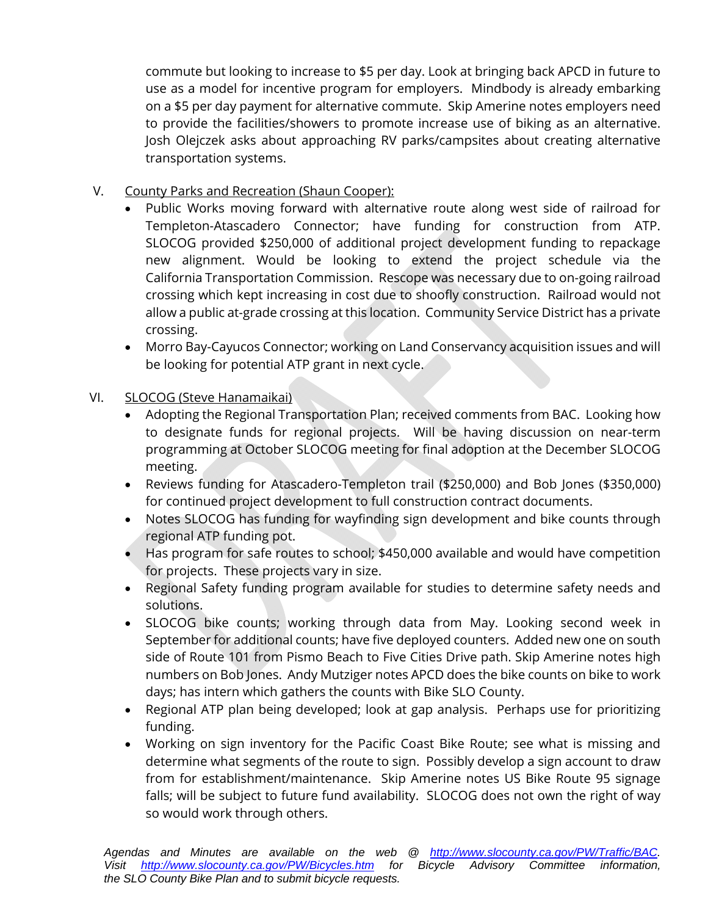commute but looking to increase to \$5 per day. Look at bringing back APCD in future to use as a model for incentive program for employers. Mindbody is already embarking on a \$5 per day payment for alternative commute. Skip Amerine notes employers need to provide the facilities/showers to promote increase use of biking as an alternative. Josh Olejczek asks about approaching RV parks/campsites about creating alternative transportation systems.

- V. County Parks and Recreation (Shaun Cooper):
	- Public Works moving forward with alternative route along west side of railroad for Templeton-Atascadero Connector; have funding for construction from ATP. SLOCOG provided \$250,000 of additional project development funding to repackage new alignment. Would be looking to extend the project schedule via the California Transportation Commission. Rescope was necessary due to on-going railroad crossing which kept increasing in cost due to shoofly construction. Railroad would not allow a public at-grade crossing at this location. Community Service District has a private crossing.
	- Morro Bay-Cayucos Connector; working on Land Conservancy acquisition issues and will be looking for potential ATP grant in next cycle.
- VI. SLOCOG (Steve Hanamaikai)
	- Adopting the Regional Transportation Plan; received comments from BAC. Looking how to designate funds for regional projects. Will be having discussion on near-term programming at October SLOCOG meeting for final adoption at the December SLOCOG meeting.
	- Reviews funding for Atascadero-Templeton trail (\$250,000) and Bob Jones (\$350,000) for continued project development to full construction contract documents.
	- Notes SLOCOG has funding for wayfinding sign development and bike counts through regional ATP funding pot.
	- Has program for safe routes to school; \$450,000 available and would have competition for projects. These projects vary in size.
	- Regional Safety funding program available for studies to determine safety needs and solutions.
	- SLOCOG bike counts; working through data from May. Looking second week in September for additional counts; have five deployed counters. Added new one on south side of Route 101 from Pismo Beach to Five Cities Drive path. Skip Amerine notes high numbers on Bob Jones. Andy Mutziger notes APCD does the bike counts on bike to work days; has intern which gathers the counts with Bike SLO County.
	- Regional ATP plan being developed; look at gap analysis. Perhaps use for prioritizing funding.
	- Working on sign inventory for the Pacific Coast Bike Route; see what is missing and determine what segments of the route to sign. Possibly develop a sign account to draw from for establishment/maintenance. Skip Amerine notes US Bike Route 95 signage falls; will be subject to future fund availability. SLOCOG does not own the right of way so would work through others.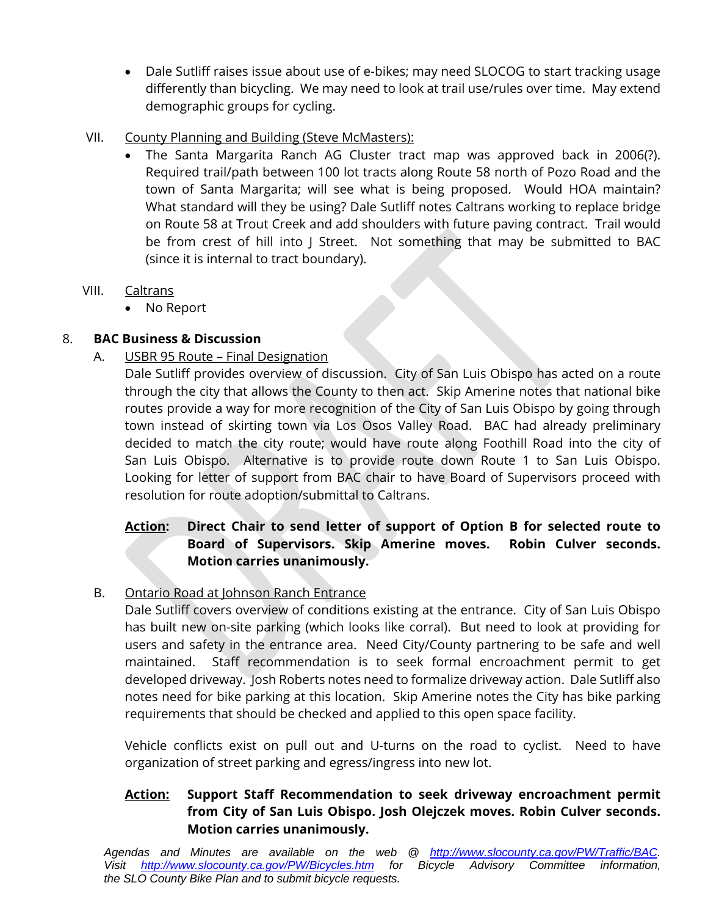- Dale Sutliff raises issue about use of e-bikes; may need SLOCOG to start tracking usage differently than bicycling. We may need to look at trail use/rules over time. May extend demographic groups for cycling.
- VII. County Planning and Building (Steve McMasters):
	- The Santa Margarita Ranch AG Cluster tract map was approved back in 2006(?). Required trail/path between 100 lot tracts along Route 58 north of Pozo Road and the town of Santa Margarita; will see what is being proposed. Would HOA maintain? What standard will they be using? Dale Sutliff notes Caltrans working to replace bridge on Route 58 at Trout Creek and add shoulders with future paving contract. Trail would be from crest of hill into J Street. Not something that may be submitted to BAC (since it is internal to tract boundary).

### VIII. Caltrans

No Report

# 8. **BAC Business & Discussion**

A. USBR 95 Route – Final Designation

Dale Sutliff provides overview of discussion. City of San Luis Obispo has acted on a route through the city that allows the County to then act. Skip Amerine notes that national bike routes provide a way for more recognition of the City of San Luis Obispo by going through town instead of skirting town via Los Osos Valley Road. BAC had already preliminary decided to match the city route; would have route along Foothill Road into the city of San Luis Obispo. Alternative is to provide route down Route 1 to San Luis Obispo. Looking for letter of support from BAC chair to have Board of Supervisors proceed with resolution for route adoption/submittal to Caltrans.

## **Action: Direct Chair to send letter of support of Option B for selected route to Board of Supervisors. Skip Amerine moves. Robin Culver seconds. Motion carries unanimously.**

# B. Ontario Road at Johnson Ranch Entrance

Dale Sutliff covers overview of conditions existing at the entrance. City of San Luis Obispo has built new on-site parking (which looks like corral). But need to look at providing for users and safety in the entrance area. Need City/County partnering to be safe and well maintained. Staff recommendation is to seek formal encroachment permit to get developed driveway. Josh Roberts notes need to formalize driveway action. Dale Sutliff also notes need for bike parking at this location. Skip Amerine notes the City has bike parking requirements that should be checked and applied to this open space facility.

Vehicle conflicts exist on pull out and U-turns on the road to cyclist. Need to have organization of street parking and egress/ingress into new lot.

## **Action: Support Staff Recommendation to seek driveway encroachment permit from City of San Luis Obispo. Josh Olejczek moves. Robin Culver seconds. Motion carries unanimously.**

*Agendas and Minutes are available on the web @ http://www.slocounty.ca.gov/PW/Traffic/BAC. Visit http://www.slocounty.ca.gov/PW/Bicycles.htm for Bicycle Advisory Committee information, the SLO County Bike Plan and to submit bicycle requests.*